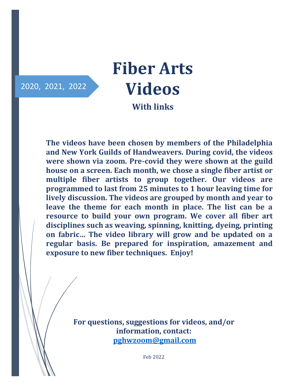# 2020, 2021, 2022

# **Fiber Arts Videos**

**With links**

**The videos have been chosen by members of the Philadelphia and New York Guilds of Handweavers. During covid, the videos were shown via zoom. Pre-covid they were shown at the guild house on a screen. Each month, we chose a single fiber artist or multiple fiber artists to group together. Our videos are programmed to last from 25 minutes to 1 hour leaving time for lively discussion. The videos are grouped by month and year to leave the theme for each month in place. The list can be a resource to build your own program. We cover all fiber art disciplines such as weaving, spinning, knitting, dyeing, printing on fabric… The video library will grow and be updated on a regular basis. Be prepared for inspiration, amazement and exposure to new fiber techniques. Enjoy!**

> **For questions, suggestions for videos, and/or information, contact: [pghwzoom@gmail.com](mailto:pghwzoom@gmail.com)**

> > Feb 2022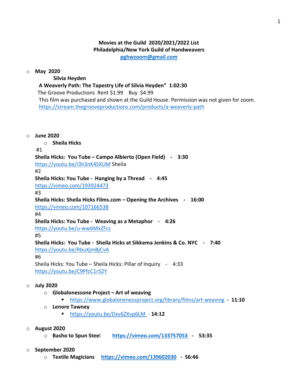# **Movies at the Guild 2020/2021/2022 List Philadelphia/New York Guild of Handweavers**

**[pghwzoom@gmail.com](mailto:pghwzoom@gmail.com)**

#### o **May 2020**

 **Silvia Heyden**

#### **A Weaverly Path: The Tapestry Life of Silvia Heyden" 1:02:30**

The Groove Productions Rent \$1.99 Buy \$4.99

 This film was purchased and shown at the Guild House. Permission was not given for zoom. <https://stream.thegrooveproductions.com/products/a-weaverly-path>

#### o **June 2020**

o **Sheila Hicks**

#### #1

# **Sheila Hicks: You Tube – Campo Albierto (Open Field) - 3:30**

<https://youtu.be/i3h3nK4SXUM> Sheila

#2

#### **Sheila Hicks: You Tube - Hanging by a Thread - 4:45**

<https://vimeo.com/193924473>

#3

# **Sheila Hicks: Sheila Hicks Films.com – Opening the Archives - 16:00**

<https://vimeo.com/107166538>

#4

# **Sheila Hicks: You Tube - Weaving as a Metaphor - 4:26**

<https://youtu.be/u-wwbMxZFcs>

#5

# **Sheila Hicks: You Tube - Sheila Hicks at Sikkema Jenkins & Co. NYC - 7:40**

<https://youtu.be/RbuXjmBjCvA>

#### #6

Sheila Hicks: You Tube – Sheila Hicks: Pillar of Inquiry - 4:33 <https://youtu.be/C9PfcC1r52Y>

#### o **July 2020**

- o **Globalonessone Project – Art of weaving**
	- <https://www.globalonenessproject.org/library/films/art-weaving> **11:10**
- o **Lenore Tawney**
	- <https://youtu.be/Dxv6ZXvp6LM> **14:12**

#### o **August 2020**

o **Basho to Spun Stee**l **<https://vimeo.com/133757053> - 53:35**

#### o **September 2020**

o **Textile Magicians <https://vimeo.com/139602030>- 56:46**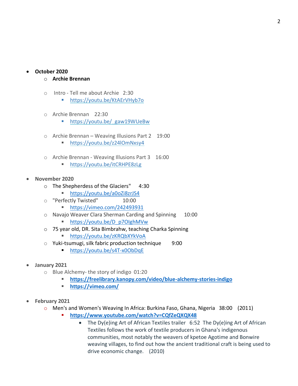#### • **October 2020**

#### o **Archie Brennan**

- o Intro Tell me about Archie 2:30
	- [https://youtu.be/KtAErVHyb7o](https://pghw.us7.list-manage.com/track/click?u=9011b4aeced20bfa12bff8467&id=12f6e321ce&e=11c333be8f)
- o Archie Brennan 22:30
	- https://youtu.be/ gaw19WUeBw
- o Archie Brennan Weaving Illusions Part 2 19:00
	- https://youtu.be/z24lOmNxsy4
- o Archie Brennan Weaving Illusions Part 3 16:00
	- [https://youtu.be/itCRHPE8zLg](https://pghw.us7.list-manage.com/track/click?u=9011b4aeced20bfa12bff8467&id=287c8425b0&e=11c333be8f)
- **November 2020**
	- o The Shepherdess of the Glaciers" 4:30
		- <https://youtu.be/a0oZi8zrJS4>
	- o "Perfectly Twisted" 10:00
		- <https://vimeo.com/242493931>
	- o Navajo Weaver Clara Sherman Carding and Spinning 10:00
		- [https://youtu.be/D\\_p7OIghMVw](https://youtu.be/D_p7OIghMVw)
	- o 75 year old, DR. Sita Bimbrahw, teaching Charka Spinning
		- <https://youtu.be/zKRQbXYkVoA>
	- $\circ$  Yuki-tsumugi, silk fabric production technique 9:00
		- <https://youtu.be/s4T-x0ObDqE>
- **January 2021**
	- o Blue Alchemy- the story of indigo 01:20
		- **<https://freelibrary.kanopy.com/video/blue-alchemy-stories-indigo>**
		- **<https://vimeo.com/>**
- **February 2021**
	- o Men's and Women's Weaving In Africa: Burkina Faso, Ghana, Nigeria 38:00 (2011)
		- <https://www.youtube.com/watch?v=CQfZeQXQX48>
			- The Dy(e)ing Art of African Textiles trailer 6:52 The Dy(e)ing Art of African Textiles follows the work of textile producers in Ghana's indigenous communities, most notably the weavers of kpetoe Agotime and Bonwire weaving villages, to find out how the ancient traditional craft is being used to drive economic change. (2010)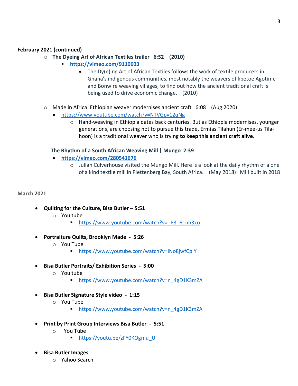# **February 2021 (continued)**

- o **The Dyeing Art of African Textiles trailer 6:52 (2010)**
	- **<https://vimeo.com/9110603>**
		- The Dy(e)ing Art of African Textiles follows the work of textile producers in Ghana's indigenous communities, most notably the weavers of kpetoe Agotime and Bonwire weaving villages, to find out how the ancient traditional craft is being used to drive economic change. (2010)
- o Made in Africa: Ethiopian weaver modernises ancient craft 6:08 (Aug 2020)
	- <https://www.youtube.com/watch?v=NTVGpy12qNg>
		- o Hand-weaving in Ethiopia dates back centuries. But as Ethiopia modernises, younger generations, are choosing not to pursue this trade, Ermias Tilahun (Er-mee-us Tilahoon) is a traditional weaver who is trying **to keep this ancient craft alive.**

#### **The Rhythm of a South African Weaving Mill | Mungo 2:39**

- **<https://vimeo.com/280541676>**
	- $\circ$  Julian Culverhouse visited the Mungo Mill. Here is a look at the daily rhythm of a one of a kind textile mill in Plettenberg Bay, South Africa. (May 2018) Mill built in 2018

#### **March 2021**

- **Quilting for the Culture, Bisa Butler – 5:51**
	- o You tube
		- https://www.youtube.com/watch?v= P3\_61nh3xo
- **Portraiture Quilts, Brooklyn Made 5:26**
	- o You Tube
		- <https://www.youtube.com/watch?v=lNo8jwfCpIY>
- **Bisa Butler Portraits/ Exhibition Series 5:00**
	- o You tube
		- [https://www.youtube.com/watch?v=n\\_4gD1K3mZA](https://www.youtube.com/watch?v=n_4gD1K3mZA)
- **Bisa Butler Signature Style video 1:15**
	- o You Tube
		- [https://www.youtube.com/watch?v=n\\_4gD1K3mZA](https://www.youtube.com/watch?v=n_4gD1K3mZA)
- **Print by Print Group Interviews Bisa Butler 5:51**
	- o You Tube
		- [https://youtu.be/zFY0KOgmu\\_U](https://youtu.be/zFY0KOgmu_U)
- **Bisa Butler Images**
	- o Yahoo Search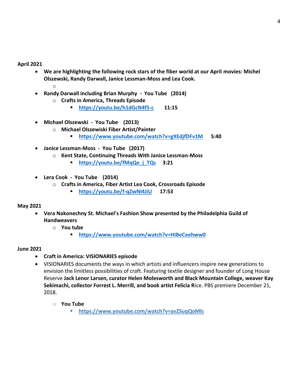#### **April 2021**

- **We are highlighting the following rock stars of the fiber world at our April movies: Michel Olszewski, Randy Darwall, Janice Lessman-Moss and Lea Cook.** o
- **Randy Darwall including Brian Murphy You Tube (2014)** 
	- o **Crafts in America, Threads Episode**
		- **<https://youtu.be/h1dGcN4f5-c>11:15**
- **Michael Olszewski You Tube (2013)** 
	- o **Michael Olszewiski Fiber Artist/Painter**
		- **<https://www.youtube.com/watch?v=gXEdjfDFv1M>5:40**
- **Janice Lessman-Moss You Tube (2017)**
	- o **Kent State, Continuing Threads With Janice Lessman-Moss**
		- **[https://youtu.be/fMqQe\\_j\\_TQs](https://youtu.be/fMqQe_j_TQs) 3:21**
- **Lera Cook You Tube (2014)**
	- o **Crafts in America, Fiber Artist Lea Cook, Crossroads Episode**
		- **<https://youtu.be/f-qZwNI4JiU>17:53**

# **May 2021**

- **Vera Nakonechny St. Michael's Fashion Show presented by the Philadelphia Guild of Handweavers**
	- o **You tube**
		- **<https://www.youtube.com/watch?v=HIBeCeehww0>**

#### **June 2021**

- **Craft in America: VISIONARIES episode**
- VISIONARIES documents the ways in which artists and influencers inspire new generations to envision the limitless possibilities of craft. Featuring textile designer and founder of Long House Reserve **Jack Lenor Larsen, curator Helen Molesworth and Black Mountain College, weaver Kay Sekimachi, collector Forrest L. Merrill, and book artist Felicia R**ice. PBS premiere December 21, 2018.
	- o **You Tube**
		- **<https://www.youtube.com/watch?v=avZSuqQoMls>**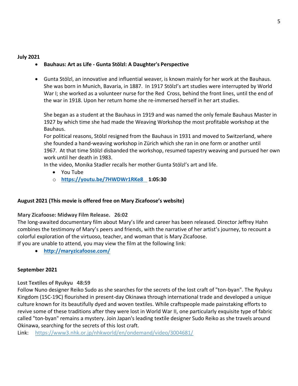#### **July 2021**

# • **Bauhaus: Art as Life - Gunta Stölzl: A Daughter's Perspective**

• Gunta Stölzl, an innovative and influential weaver, is known mainly for her work at the Bauhaus. She was born in Munich, Bavaria, in 1887. In 1917 Stölzl's art studies were interrupted by World War I; she worked as a volunteer nurse for the Red Cross, behind the front lines, until the end of the war in 1918. Upon her return home she re-immersed herself in her art studies.

She began as a student at the [Bauhaus](http://www.metmuseum.org/toah/hd/bauh/hd_bauh.htm) in 1919 and was named the only female Bauhaus Master in 1927 by which time she had made the Weaving Workshop the most profitable workshop at the Bauhaus.

For political reasons, Stölzl resigned from the Bauhaus in 1931 and moved to Switzerland, where she founded a hand-weaving workshop in Zürich which she ran in one form or another until 1967. At that time Stölzl disbanded the workshop, resumed tapestry weaving and pursued her own work until her death in 1983.

In the video, Monika Stadler recalls her mother Gunta Stölzl's art and life.

- You Tube
- o **<https://youtu.be/7HWDWr1RKe8>1:05:30**

# **August 2021 (This movie is offered free on Mary Zicafoose's website)**

**Mary Zicafoose: Midway Film Release. 26:02**

The long-awaited documentary film about Mary's life and career has been released. Director Jeffrey Hahn combines the testimony of Mary's peers and friends, with the narrative of her artist's journey, to recount a colorful exploration of the virtuoso, teacher, and woman that is Mary Zicafoose.

If you are unable to attend, you may view the film at the following link:

• **<http://maryzicafoose.com/>**

# **September 2021**

**Lost Textiles of Ryukyu 48:59**

Follow Nuno designer Reiko Sudo as she searches for the secrets of the lost craft of "ton-byan". The Ryukyu Kingdom (15C-19C) flourished in present-day Okinawa through international trade and developed a unique culture known for its beautifully dyed and woven textiles. While craftspeople made painstaking efforts to revive some of these traditions after they were lost in World War II, one particularly exquisite type of fabric called "ton-byan" remains a mystery. Join Japan's leading textile designer Sudo Reiko as she travels around Okinawa, searching for the secrets of this lost craft.

Link: <https://www3.nhk.or.jp/nhkworld/en/ondemand/video/3004681/>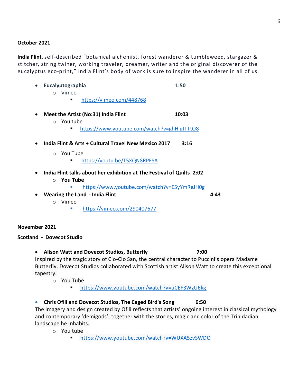#### **October 2021**

**India Flint**, self-described "botanical alchemist, forest wanderer & tumbleweed, stargazer & stitcher, string twiner, working traveler, dreamer, writer and the original discoverer of the eucalyptus eco-print," India Flint's body of work is sure to inspire the wanderer in all of us.

• **Eucalyptographia 1:50**

- o Vimeo
	- https://vimeo.com/448768
- Meet the Artist (No:31) India Flint 10:03
	- o You tube
		- <https://www.youtube.com/watch?v=ghHjgJTTtO8>
- **India Flint & Arts + Cultural Travel New Mexico 2017 3:16**
	- o You Tube
		- ▪<https://youtu.be/T5XQN8RPFSA>
- **India Flint talks about her exhibition at The Festival of Quilts 2:02**
	- o **You Tube**
		- <https://www.youtube.com/watch?v=E5yYmReJH0g>
- **Wearing the Land - India Flint 4:43**
	- o Vimeo
		- <https://vimeo.com/290407677>

#### **November 2021**

#### **Scotland - Dovecot Studio**

• **Alison Watt and Dovecot Studios, Butterfly 7:00** 

Inspired by the tragic story of Cio-Cio San, the central character to Puccini's opera Madame Butterfly, Dovecot Studios collaborated with Scottish artist Alison Watt to create this exceptional tapestry.

o You Tube

■ <https://www.youtube.com/watch?v=uCEF3WzU6kg>

# • **Chris Ofili and Dovecot Studios, The Caged Bird's Song 6:50**

The imagery and design created by Ofili reflects that artists' ongoing interest in classical mythology and contemporary 'demigods', together with the stories, magic and color of the Trinidadian landscape he inhabits.

- o You tube
	- <https://www.youtube.com/watch?v=WUXA5zvSWDQ>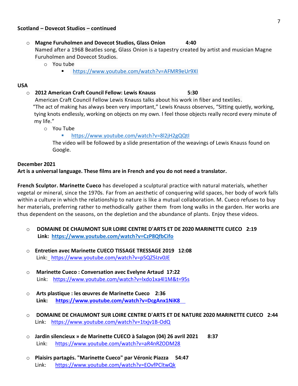#### **Scotland – Dovecot Studios – continued**

o **Magne Furuholmen and Dovecot Studios, Glass Onion 4:40**

Named after a 1968 Beatles song, Glass Onion is a tapestry created by artist and musician Magne Furuholmen and Dovecot Studios.

- o You tube
	- <https://www.youtube.com/watch?v=AFMR9eUr9XI>

#### **USA**

o **2012 American Craft Council Fellow: Lewis Knauss 5:30**

American Craft Council Fellow Lewis Knauss talks about his work in fiber and textiles.

"The act of making has always been very important," Lewis Knauss observes, "Sitting quietly, working, tying knots endlessly, working on objects on my own. I feel those objects really record every minute of my life."

o You Tube

#### <https://www.youtube.com/watch?v=8l2jH2gQQtI>

The video will be followed by a slide presentation of the weavings of Lewis Knauss found on Google.

#### **December 2021**

#### **Art is a universal language. These films are in French and you do not need a translator.**

**French Sculptor. Marinette Cueco** has developed a sculptural practice with natural materials, whether vegetal or mineral, since the 1970s. Far from an aesthetic of conquering wild spaces, her body of work falls within a culture in which the relationship to nature is like a mutual collaboration. M. Cueco refuses to buy her materials, preferring rather to methodically gather them from long walks in the garden. Her works are thus dependent on the seasons, on the depletion and the abundance of plants. Enjoy these videos.

- o **DOMAINE DE CHAUMONT SUR LOIRE CENTRE D'ARTS ET DE 2020 MARINETTE CUECO 2:19 Link: <https://www.youtube.com/watch?v=CzP8QfbCifo>**
- o **Entretien avec Marinette CUECO TISSAGE TRESSAGE 2019 12:08** Link: <https://www.youtube.com/watch?v=p5QZ5Izv0JE>
- o **Marinette Cueco : Conversation avec Evelyne Artaud 17:22** Link: <https://www.youtube.com/watch?v=lxdo1xa4l1M&t=95s>
- o **Arts plastique : les œuvres de Marinette Cueco 2:36 Link: <https://www.youtube.com/watch?v=DcgAnx1NiK8>**
- o **DOMAINE DE CHAUMONT SUR LOIRE CENTRE D'ARTS ET DE NATURE 2020 MARINETTE CUECO 2:44** Link: <https://www.youtube.com/watch?v=1txjv1B-OdQ>
- o **Jardin silencieux » de Marinette CUECO à Salagon (04) 26 avril 2021 8:37** Link: <https://www.youtube.com/watch?v=aR4nRZODM28>
- o **Plaisirs partagés. "Marinette Cueco" par Véronic Piazza 54:47** Link: <https://www.youtube.com/watch?v=EOvfPCltwQk>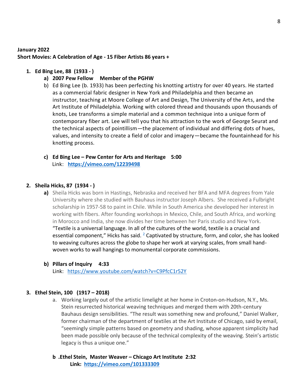#### **January 2022**

**Short Movies: A Celebration of Age - 15 Fiber Artists 86 years +**

#### **1. Ed Bing Lee, 88 (1933 - )**

- **a) 2007 Pew Fellow Member of the PGHW**
- b) Ed Bing Lee (b. 1933) has been perfecting his knotting artistry for over 40 years. He started as a commercial fabric designer in New York and Philadelphia and then became an instructor, teaching at Moore College of Art and Design, The University of the Arts, and the Art Institute of Philadelphia. Working with colored thread and thousands upon thousands of knots, Lee transforms a simple material and a common technique into a unique form of contemporary fiber art. Lee will tell you that his attraction to the work of George Seurat and the technical aspects of pointillism—the placement of individual and differing dots of hues, values, and intensity to create a field of color and imagery—became the fountainhead for his knotting process.
- **c) Ed Bing Lee – Pew Center for Arts and Heritage 5:00** Link: **<https://vimeo.com/12239498>**

#### **2. Sheila Hicks, 87 (1934 - )**

- **a)** Sheila Hicks was born in Hastings, Nebraska and received her BFA and MFA degrees from Yale University where she studied with Bauhaus instructor Joseph Albers. She received a Fulbright scholarship in 1957-58 to paint in Chile. While in South America she developed her interest in working with fibers. After founding workshops in Mexico, Chile, and South Africa, and working in Morocco and India, she now divides her time between her Paris studio and New York. "Textile is a universal language. In all of the cultures of the world, textile is a crucial and essential component," Hicks has said.  $<sup>2</sup>$  $<sup>2</sup>$  $<sup>2</sup>$  Captivated by structure, form, and color, she has looked</sup> to weaving cultures across the globe to shape her work at varying scales, from small handwoven works to wall hangings to monumental corporate commissions.
- **b) Pillars of Inquiry 4:33**

Link: <https://www.youtube.com/watch?v=C9PfcC1r52Y>

#### **3. Ethel Stein, 100 (1917 – 2018)**

- a. Working largely out of the artistic limelight at her home in Croton-on-Hudson, N.Y., Ms. Stein resurrected historical weaving techniques and merged them with 20th-century Bauhaus design sensibilities. "The result was something new and profound," Daniel Walker, former chairman of the department of textiles at the Art Institute of Chicago, said by email, "seemingly simple patterns based on geometry and shading, whose apparent simplicity had been made possible only because of the technical complexity of the weaving. Stein's artistic legacy is thus a unique one."
- **b .Ethel Stein, Master Weaver – Chicago Art Institute 2:32 Link: <https://vimeo.com/101333309>**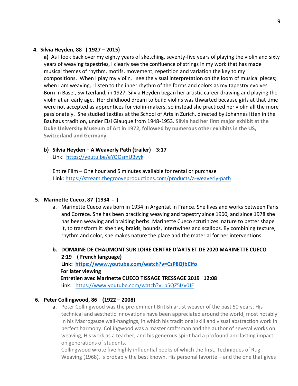#### **4. Silvia Heyden, 88 ( 1927 – 2015)**

**a)** As I look back over my eighty years of sketching, seventy-five years of playing the violin and sixty years of weaving tapestries, I clearly see the confluence of strings in my work that has made musical themes of rhythm, motifs, movement, repetition and variation the key to my compositions. When I play my violin, I see the visual interpretation on the loom of musical pieces; when I am weaving, I listen to the inner rhythm of the forms and colors as my tapestry evolves Born in Basel, Switzerland, in 1927, Silvia Heyden began her artistic career drawing and playing the violin at an early age. Her childhood dream to build violins was thwarted because girls at that time were not accepted as apprentices for violin-makers, so instead she practiced her violin all the more passionately. She studied textiles at the School of Arts in Zurich, directed by Johannes Itten in the Bauhaus tradition, under Elsi Giauque from 1948-1953. **Silvia had her first major exhibit at the Duke University Museum of Art in 1972, followed by numerous other exhibits in the US, Switzerland and Germany.**

#### **b) Silvia Heyden – A Weaverly Path (trailer) 3:17**

Link: <https://youtu.be/eYOOsmUBvyk>

Entire Film – One hour and 5 minutes available for rental or purchase Link:<https://stream.thegrooveproductions.com/products/a-weaverly-path>

#### **5. Marinette Cueco, 87 (1934 - )**

- a. Marinette Cueco was born in 1934 in Argentat in France. She lives and works between Paris and Corrèze. She has been practicing weaving and tapestry since 1960, and since 1978 she has been weaving and braiding herbs. Marinette Cueco scrutinizes nature to better shape it, to transform it: she ties, braids, bounds, intertwines and scallops. By combining texture, rhythm and color, she makes nature the place and the material for her interventions.
- **b. DOMAINE DE CHAUMONT SUR LOIRE CENTRE D'ARTS ET DE 2020 MARINETTE CUECO 2:19 ( French language) Link: <https://www.youtube.com/watch?v=CzP8QfbCifo> For later viewing Entretien avec Marinette CUECO TISSAGE TRESSAGE 2019 12:08** Link: <https://www.youtube.com/watch?v=p5QZ5Izv0JE>

#### **6. Peter Collingwood, 86 (1922 – 2008)**

a. Peter Collingwood was the pre-eminent British artist weaver of the past 50 years. His technical and aesthetic innovations have been appreciated around the world, most notably in his Macrogauze wall-hangings, in which his traditional skill and visual abstraction work in perfect harmony. Collingwood was a master craftsman and the author of several works on weaving, His work as a teacher, and his generous spirit had a profound and lasting impact on generations of students.

Collingwood wrote five highly influential books of which the first, Techniques of Rug Weaving (1968), is probably the best known. His personal favorite – and the one that gives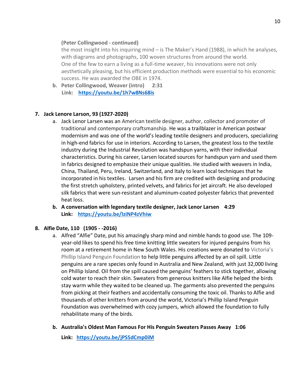### **(Peter Collingwood - continued)**

the most insight into his inquiring mind – is The Maker's Hand (1988), in which he analyses, with diagrams and photographs, 100 woven structures from around the world. One of the few to earn a living as a full-time weaver, his innovations were not only aesthetically pleasing, but his efficient production methods were essential to his economic success. He was awarded the OBE in 1974.

**b. Peter Collingwood, Weaver (intro) 2:31 Link: <https://youtu.be/1h7w8Ns68is>**

# **7. Jack Lenore Larson, 93 (1927-2020)**

- a. Jack Lenor Larsen was an American textile designer, author, collector and promoter of traditional and contemporary craftsmanship. He was a trailblazer in American postwar modernism and was one of the world's leading textile designers and producers, specializing in high-end fabrics for use in interiors. According to Larsen, the greatest loss to the textile industry during the Industrial Revolution was handspun yarns, with their individual characteristics. During his career, Larsen located sources for handspun yarn and used them in fabrics designed to emphasize their unique qualities. He studied with weavers in India, China, Thailand, Peru, Ireland, Switzerland, and Italy to learn local techniques that he incorporated in his textiles. Larsen and his firm are credited with designing and producing the first stretch upholstery, printed velvets, and fabrics for jet aircraft. He also developed silk fabrics that were sun-resistant and aluminum-coated polyester fabrics that prevented heat loss.
- **b. A conversation with legendary textile designer, Jack Lenor Larsen 4:29 Link: <https://youtu.be/lziNP4zVhiw>**

# **8. Alfie Date, 110 (1905 - -2016)**

- a. Alfred "Alfie" Date, put his amazingly sharp mind and nimble hands to good use. The 109 year-old likes to spend his free time knitting little sweaters for injured penguins from his room at a retirement home in New South Wales. His creations were donated to [Victoria's](http://penguinfoundation.org.au/)  [Phillip Island Penguin Foundation](http://penguinfoundation.org.au/) to help little penguins affected by an oil spill. Little penguins are a rare species only found in Australia and New Zealand, with just 32,000 living on Phillip Island. Oil from the spill caused the penguins' feathers to stick together, allowing cold water to reach their skin. Sweaters from generous knitters like Alfie helped the birds stay warm while they waited to be cleaned up. The garments also prevented the penguins from picking at their feathers and accidentally consuming the toxic oil. Thanks to Alfie and thousands of other knitters from around the world, Victoria's Phillip Island Penguin Foundation was overwhelmed with cozy jumpers, which allowed the foundation to fully rehabilitate many of the birds.
- **b. Australia's Oldest Man Famous For His Penguin Sweaters Passes Away 1:06**

**Link: <https://youtu.be/jPSSdCmp0iM>**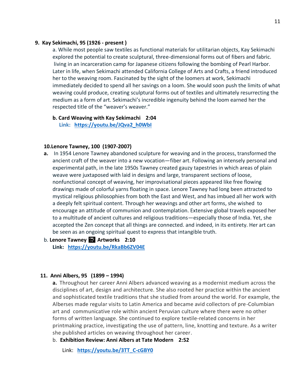#### **9. Kay Sekimachi, 95 (1926 - present )**

a. While most people saw textiles as functional materials for utilitarian objects, Kay Sekimachi explored the potential to create sculptural, three-dimensional forms out of fibers and fabric. living in an incarceration camp for Japanese citizens following the bombing of Pearl Harbor. Later in life, when Sekimachi attended California College of Arts and Crafts, a friend introduced her to the weaving room. Fascinated by the sight of the loomers at work, Sekimachi immediately decided to spend all her savings on a loom. She would soon push the limits of what weaving could produce, creating sculptural forms out of textiles and ultimately resurrecting the medium as a form of art. Sekimachi's incredible ingenuity behind the loom earned her the respected title of the "weaver's weaver."

**b. Card Weaving with Kay Sekimachi 2:04 Link: [https://youtu.be/JQva2\\_h0WbI](https://youtu.be/JQva2_h0WbI)**

#### **10.Lenore Tawney, 100 (1907-2007)**

- **a.** In 1954 Lenore Tawney abandoned sculpture for weaving and in the process, transformed the ancient craft of the weaver into a new vocation—fiber art. Following an intensely personal and experimental path, in the late 1950s Tawney created gauzy tapestries in which areas of plain weave were juxtaposed with laid in designs and large, transparent sections of loose, nonfunctional concept of weaving, her improvisational pieces appeared like free flowing drawings made of colorful yarns floating in space. Lenore Tawney had long been attracted to mystical religious philosophies from both the East and West, and has imbued all her work with a deeply felt spiritual content. Through her weavings and other art forms, she wished to encourage an attitude of communion and contemplation. Extensive global travels exposed her to a multitude of ancient cultures and religious traditions—especially those of India. Yet, she accepted the Zen concept that all things are connected. and indeed, in its entirety. Her art can be seen as an ongoing spiritual quest to express that intangible truth.
- b. **Lenore Tawney** ️ **Artworks 2:10 Link: <https://youtu.be/RkaBb6ZV04E>**

#### **11. Anni Albers, 95 (1899 – 1994)**

**a.** Throughout her career Anni Albers advanced weaving as a modernist medium across the disciplines of art, design and architecture. She also rooted her practice within the ancient and sophisticated textile traditions that she studied from around the world. For example, the Alberses made regular visits to Latin America and became avid collectors of pre-Columbian art and communicative role within ancient Peruvian culture where there were no other forms of written language. She continued to explore textile-related concerns in her printmaking practice, investigating the use of pattern, line, knotting and texture. As a writer she published articles on weaving throughout her career.

b. **Exhibition Review: Anni Albers at Tate Modern 2:52**

Link: **[https://youtu.be/3TT\\_C-cGBY0](https://youtu.be/3TT_C-cGBY0)**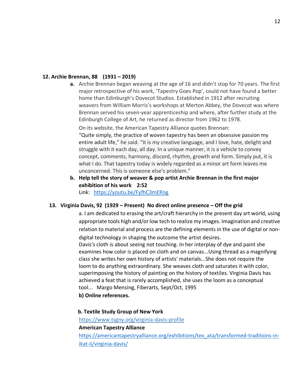#### **12. Archie Brennan, 88 (1931 – 2019)**

**a.** Archie Brennan began weaving at the age of 16 and didn't stop for 70 years. The first major retrospective of his work, 'Tapestry Goes Pop', could not have found a better home than Edinburgh's Dovecot Studios. Established in 1912 after recruiting weavers from William Morris's workshops at Merton Abbey, the Dovecot was where Brennan served his seven-year apprenticeship and where, after further study at the Edinburgh College of Art, he returned as director from 1962 to 1978.

On its website, the American Tapestry Alliance quotes Brennan: "Quite simply, the practice of woven tapestry has been an obsessive passion my entire adult life," he said. "It is my creative language, and I love, hate, delight and struggle with it each day, all day. In a unique manner, it is a vehicle to convey concept, comments, harmony, discord, rhythm, growth and form. Simply put, it is what I do. That tapestry today is widely regarded as a minor art form leaves me unconcerned. This is someone else's problem."

**b. Help tell the story of weaver & pop artist Archie Brennan in the first major exhibition of his work 2:52** Link: <https://youtu.be/FyfhC3mERng>

#### **13. Virginia Davis, 92 (1929 – Present) No direct online presence – Off the grid**

a. I am dedicated to erasing the art/craft hierarchy in the present day art world, using appropriate tools high and/or low tech to realize my images. Imagination and creative relation to material and process are the defining elements in the use of digital or nondigital technology in shaping the outcome the artist desires.

Davis's cloth is about seeing not touching. In her interplay of dye and paint she examines how color is placed on cloth and on canvas...Using thread as a magnifying class she writes her own history of artists' materials...She does not require the loom to do anything extraordinary. She weaves cloth and saturates it with color, superimposing the history of painting on the history of textiles. Virginia Davis has achieved a feat that is rarely accomplished, she uses the loom as a conceptual tool... Margo Mensing, Fiberarts, Sept/Oct, 1995

**b) Online references.**

#### **b. Textile Study Group of New York**

<https://www.tsgny.org/virginia-davis-profile>

#### **American Tapestry Alliance**

[https://americantapestryalliance.org/exhibitions/tex\\_ata/transformed-traditions-in](https://americantapestryalliance.org/exhibitions/tex_ata/transformed-traditions-in-ikat-ii/virginia-davis/)[ikat-ii/virginia-davis/](https://americantapestryalliance.org/exhibitions/tex_ata/transformed-traditions-in-ikat-ii/virginia-davis/)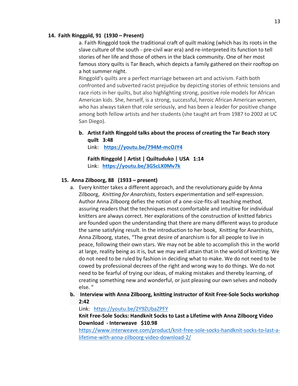#### **14. Faith Ringgpld, 91 (1930 – Present)**

a. Faith Ringgold took the traditional craft of quilt making (which has its roots in the slave culture of the south - pre-civil war era) and re-interpreted its function to tell stories of her life and those of others in the black community. One of her most famous story quilts is Tar Beach, which depicts a family gathered on their rooftop on a hot summer night.

Ringgold's quilts are a perfect marriage between art and activism. Faith both confronted and subverted racist prejudice by depicting stories of ethnic tensions and race riots in her quilts, but also highlighting strong, positive role models for African American kids. She, herself, is a strong, successful, heroic African American women, who has always taken that role seriously, and has been a leader for positive change among both fellow artists and her students (she taught art from 1987 to 2002 at UC San Diego).

### **b. Artist Faith Ringgold talks about the process of creating the Tar Beach story quilt 3:48**

Link: **<https://youtu.be/794M-mcOJY4>**

**Faith Ringgold | Artist | Quiltuduko | USA 1:14** Link: **<https://youtu.be/3GScLX0Mv7k>**

#### **15. Anna Zilboorg, 88 (1933 – present)**

- a. Every knitter takes a different approach, and the revolutionary guide by Anna Zilboorg, *Knitting for Anarchists*, fosters experimentation and self-expression. Author Anna Zilboorg defies the notion of a one-size-fits-all teaching method, assuring readers that the techniques most comfortable and intuitive for individual knitters are always correct. Her explorations of the construction of knitted fabrics are founded upon the understanding that there are many different ways to produce the same satisfying result. In the introduction to her book, Knitting for Anarchists, Anna Zilboorg, states, "The great desire of anarchism is for all people to live in peace, following their own stars. We may not be able to accomplish this in the world at large, reality being as it is, but we may well attain that in the world of knitting. We do not need to be ruled by fashion in deciding what to make. We do not need to be cowed by professional decrees of the right and wrong way to do things. We do not need to be fearful of trying our ideas, of making mistakes and thereby learning, of creating something new and wonderful, or just pleasing our own selves and nobody else. "
- **b. Interview with Anna Zilboorg, knitting instructor of Knit Free-Sole Socks workshop 2:42**

Link: <https://youtu.be/2Y9ZUbaZPFY>

**Knit Free-Sole Socks: Handknit Socks to Last a Lifetime with Anna Zilboorg Video Download - Interweave \$10.98** 

[https://www.interweave.com/product/knit-free-sole-socks-handknit-socks-to-last-a](https://www.interweave.com/product/knit-free-sole-socks-handknit-socks-to-last-a-lifetime-with-anna-zilboorg-video-download-2/)[lifetime-with-anna-zilboorg-video-download-2/](https://www.interweave.com/product/knit-free-sole-socks-handknit-socks-to-last-a-lifetime-with-anna-zilboorg-video-download-2/)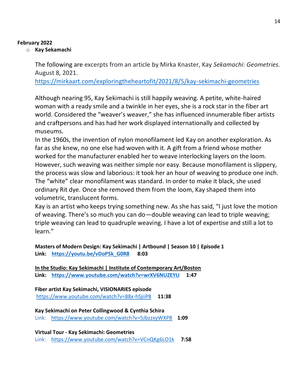# **February 2022**

# o **Kay Sekamachi**

The following are excerpts from an article by Mirka Knaster, Kay *Sekamachi: Geometries.*  August 8, 2021.

<https://mirkaart.com/exploringtheheartofit/2021/8/5/kay-sekimachi-geometries>

Although nearing 95, Kay Sekimachi is still happily weaving. A petite, white-haired woman with a ready smile and a twinkle in her eyes, she is a rock star in the fiber art world. Considered the "weaver's weaver," she has influenced innumerable fiber artists and craftpersons and has had her work displayed internationally and collected by museums.

In the 1960s, the invention of nylon monofilament led Kay on another exploration. As far as she knew, no one else had woven with it. A gift from a friend whose mother worked for the manufacturer enabled her to weave interlocking layers on the loom. However, such weaving was neither simple nor easy. Because monofilament is slippery, the process was slow and laborious: it took her an hour of weaving to produce one inch. The "white" clear monofilament was standard. In order to make it black, she used ordinary Rit dye. Once she removed them from the loom, Kay shaped them into volumetric, translucent forms.

Kay is an artist who keeps trying something new. As she has said, "I just love the motion of weaving. There's so much you can do—double weaving can lead to triple weaving; triple weaving can lead to quadruple weaving. I have a lot of expertise and still a lot to learn."

**Masters of Modern Design: Kay Sekimachi | Artbound | Season 10 | Episode 1 Link: [https://youtu.be/vDoPSk\\_G0R8](https://youtu.be/vDoPSk_G0R8) 8:03**

**[In the Studio: Kay Sekimachi | Institute of Contemporary Art/Boston](/Users/kate2/Desktop/SS&DP%20article/In%20the%20Studio:%20Kay%20Sekimachi%20|%20Institute%20of%20Contemporary%20Art/Boston) Link: <https://www.youtube.com/watch?v=wrXV6NUZEYU>1:47**

**Fiber artist Kay Sekimachi, VISIONARIES episode**  <https://www.youtube.com/watch?v=88x-hSjiiP8>**11:38**

**Kay Sekimachi on Peter Collingwood & Cynthia Schira** Link: <https://www.youtube.com/watch?v=5JbzzxyWXP8>**1:09**

**Virtual Tour - Kay Sekimachi: Geometries** Link: <https://www.youtube.com/watch?v=VCnQKg6LO1k>**7:58**